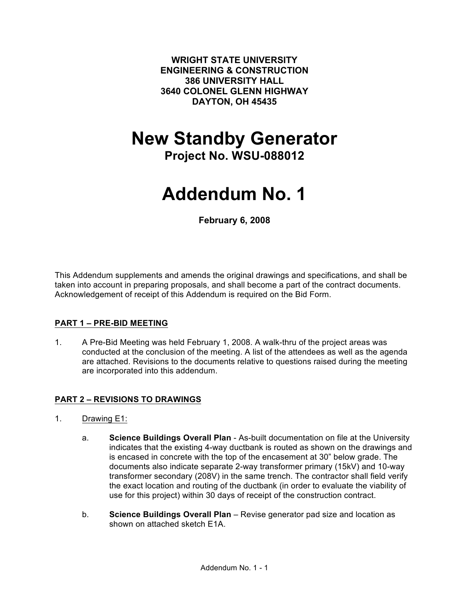**WRIGHT STATE UNIVERSITY ENGINEERING & CONSTRUCTION 386 UNIVERSITY HALL 3640 COLONEL GLENN HIGHWAY DAYTON, OH 45435**

# **New Standby Generator**

**Project No. WSU-088012**

# **Addendum No. 1**

**February 6, 2008**

This Addendum supplements and amends the original drawings and specifications, and shall be taken into account in preparing proposals, and shall become a part of the contract documents. Acknowledgement of receipt of this Addendum is required on the Bid Form.

#### **PART 1 – PRE-BID MEETING**

1. A Pre-Bid Meeting was held February 1, 2008. A walk-thru of the project areas was conducted at the conclusion of the meeting. A list of the attendees as well as the agenda are attached. Revisions to the documents relative to questions raised during the meeting are incorporated into this addendum.

## **PART 2 – REVISIONS TO DRAWINGS**

- 1. Drawing E1:
	- a. **Science Buildings Overall Plan** As-built documentation on file at the University indicates that the existing 4-way ductbank is routed as shown on the drawings and is encased in concrete with the top of the encasement at 30" below grade. The documents also indicate separate 2-way transformer primary (15kV) and 10-way transformer secondary (208V) in the same trench. The contractor shall field verify the exact location and routing of the ductbank (in order to evaluate the viability of use for this project) within 30 days of receipt of the construction contract.
	- b. **Science Buildings Overall Plan** Revise generator pad size and location as shown on attached sketch E1A.